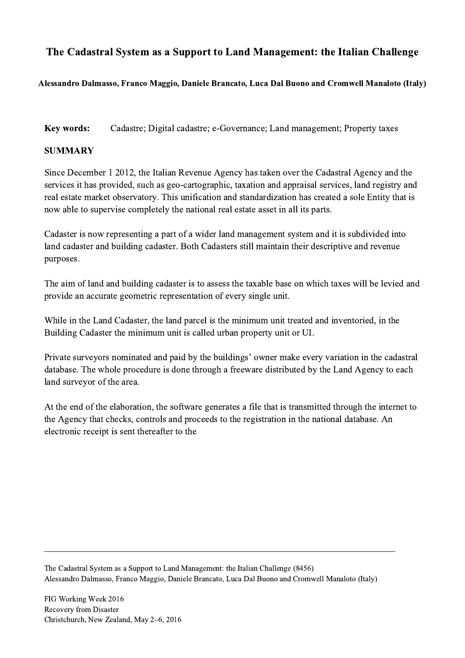## The Cadastral System as a Support to Land Management: the Italian Challenge

## Alessandro Dalmasso, Franco Maggio, Daniele Brancato, Luca Dal Buono and Cromwell Manaloto (Italy)

Key words: Cadastre; Digital cadastre; e-Governance; Land management; Property taxes

## **SUMMARY**

Since December 1 2012, the Italian Revenue Agency has taken over the Cadastral Agency and the services it has provided, such as geo-cartographic, taxation and appraisal services, land registry and real estate market observatory. This unification and standardization has created a sole Entity that is now able to supervise completely the national real estate asset in all its parts.

Cadaster is now representing a part of a wider land management system and it is subdivided into land cadaster and building cadaster. Both Cadasters still maintain their descriptive and revenue purposes.

The aim of land and building cadaster is to assess the taxable base on which taxes will be levied and provide an accurate geometric representation of every single unit.

While in the Land Cadaster, the land parcel is the minimum unit treated and inventoried, in the Building Cadaster the minimum unit is called urban property unit or UI.

Private surveyors nominated and paid by the buildings' owner make every variation in the cadastral database. The whole procedure is done through a freeware distributed by the Land Agency to each land surveyor of the area.

At the end of the elaboration, the software generates a file that is transmitted through the internet to the Agency that checks, controls and proceeds to the registration in the national database. An electronic receipt is sent thereafter to the

The Cadastral System as a Support to Land Management: the Italian Challenge (8456) Alessandro Dalmasso, Franco Maggio, Daniele Brancato, Luca Dal Buono and Cromwell Manaloto (Italy)

 $\mathcal{L}_\mathcal{L} = \{ \mathcal{L}_\mathcal{L} = \{ \mathcal{L}_\mathcal{L} = \{ \mathcal{L}_\mathcal{L} = \{ \mathcal{L}_\mathcal{L} = \{ \mathcal{L}_\mathcal{L} = \{ \mathcal{L}_\mathcal{L} = \{ \mathcal{L}_\mathcal{L} = \{ \mathcal{L}_\mathcal{L} = \{ \mathcal{L}_\mathcal{L} = \{ \mathcal{L}_\mathcal{L} = \{ \mathcal{L}_\mathcal{L} = \{ \mathcal{L}_\mathcal{L} = \{ \mathcal{L}_\mathcal{L} = \{ \mathcal{L}_\mathcal{$